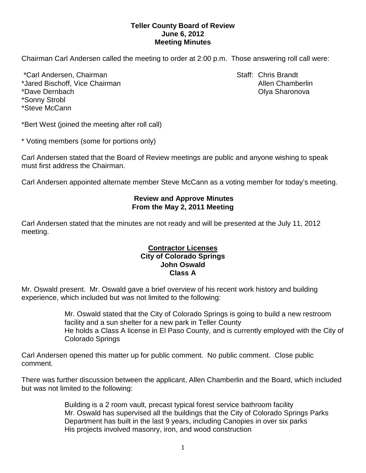## **Teller County Board of Review June 6, 2012 Meeting Minutes**

Chairman Carl Andersen called the meeting to order at 2:00 p.m. Those answering roll call were:

\*Carl Andersen, Chairman Staff: Chris Brandt \*Jared Bischoff, Vice Chairman Allen Chamberlin Allen Chamberlin \*Dave Dernbach Olya Sharonova \*Sonny Strobl \*Steve McCann

\*Bert West (joined the meeting after roll call)

\* Voting members (some for portions only)

Carl Andersen stated that the Board of Review meetings are public and anyone wishing to speak must first address the Chairman.

Carl Andersen appointed alternate member Steve McCann as a voting member for today's meeting.

# **Review and Approve Minutes From the May 2, 2011 Meeting**

Carl Andersen stated that the minutes are not ready and will be presented at the July 11, 2012 meeting.

#### **Contractor Licenses City of Colorado Springs John Oswald Class A**

Mr. Oswald present. Mr. Oswald gave a brief overview of his recent work history and building experience, which included but was not limited to the following:

> Mr. Oswald stated that the City of Colorado Springs is going to build a new restroom facility and a sun shelter for a new park in Teller County He holds a Class A license in El Paso County, and is currently employed with the City of Colorado Springs

Carl Andersen opened this matter up for public comment. No public comment. Close public comment.

There was further discussion between the applicant, Allen Chamberlin and the Board, which included but was not limited to the following:

> Building is a 2 room vault, precast typical forest service bathroom facility Mr. Oswald has supervised all the buildings that the City of Colorado Springs Parks Department has built in the last 9 years, including Canopies in over six parks His projects involved masonry, iron, and wood construction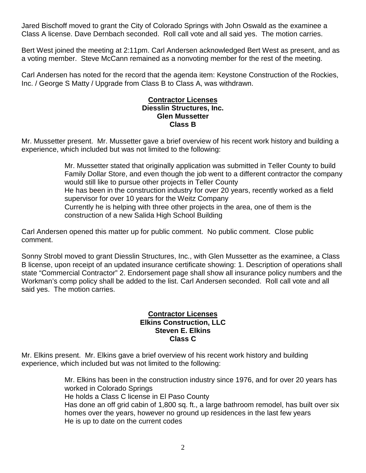Jared Bischoff moved to grant the City of Colorado Springs with John Oswald as the examinee a Class A license. Dave Dernbach seconded. Roll call vote and all said yes. The motion carries.

Bert West joined the meeting at 2:11pm. Carl Andersen acknowledged Bert West as present, and as a voting member. Steve McCann remained as a nonvoting member for the rest of the meeting.

Carl Andersen has noted for the record that the agenda item: Keystone Construction of the Rockies, Inc. / George S Matty / Upgrade from Class B to Class A, was withdrawn.

## **Contractor Licenses Diesslin Structures, Inc. Glen Mussetter Class B**

Mr. Mussetter present. Mr. Mussetter gave a brief overview of his recent work history and building a experience, which included but was not limited to the following:

> Mr. Mussetter stated that originally application was submitted in Teller County to build Family Dollar Store, and even though the job went to a different contractor the company would still like to pursue other projects in Teller County He has been in the construction industry for over 20 years, recently worked as a field supervisor for over 10 years for the Weitz Company Currently he is helping with three other projects in the area, one of them is the construction of a new Salida High School Building

Carl Andersen opened this matter up for public comment. No public comment. Close public comment.

Sonny Strobl moved to grant Diesslin Structures, Inc., with Glen Mussetter as the examinee, a Class B license, upon receipt of an updated insurance certificate showing: 1. Description of operations shall state "Commercial Contractor" 2. Endorsement page shall show all insurance policy numbers and the Workman's comp policy shall be added to the list. Carl Andersen seconded. Roll call vote and all said yes. The motion carries.

#### **Contractor Licenses Elkins Construction, LLC Steven E. Elkins Class C**

Mr. Elkins present. Mr. Elkins gave a brief overview of his recent work history and building experience, which included but was not limited to the following:

> Mr. Elkins has been in the construction industry since 1976, and for over 20 years has worked in Colorado Springs He holds a Class C license in El Paso County Has done an off grid cabin of 1,800 sq. ft., a large bathroom remodel, has built over six homes over the years, however no ground up residences in the last few years He is up to date on the current codes